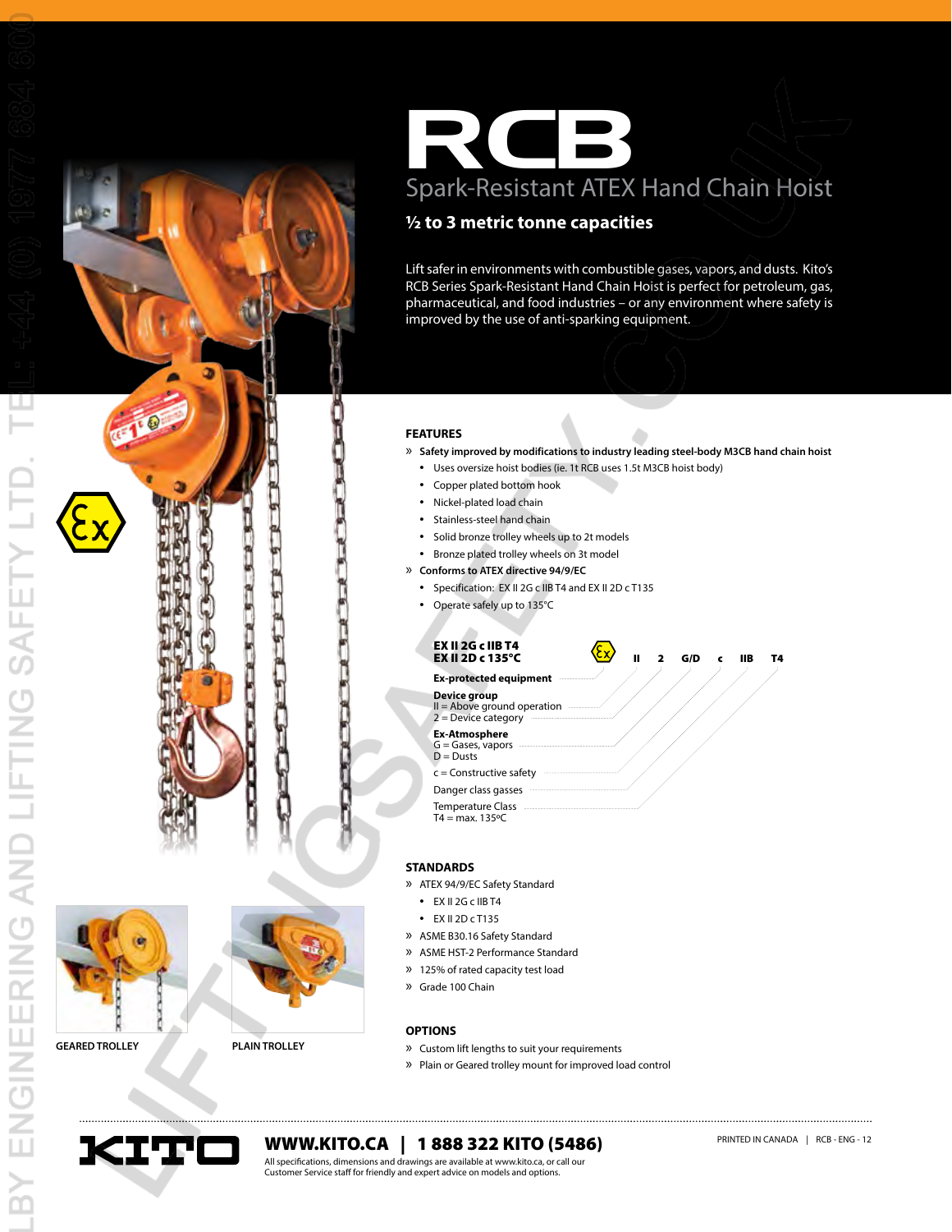



# RCB Spark-Resistant ATEX Hand Chain Hoist

# **½ to 3 metric tonne capacities**

Lift safer in environments with combustible gases, vapors, and dusts. Kito's RCB Series Spark-Resistant Hand Chain Hoist is perfect for petroleum, gas, pharmaceutical, and food industries – or any environment where safety is improved by the use of anti-sparking equipment.

## **FEATURES**

» **Safety improved by modifications to industry leading steel-body M3CB hand chain hoist**

- • Uses oversize hoist bodies (ie. 1t RCB uses 1.5t M3CB hoist body)
- • Copper plated bottom hook
- • Nickel-plated load chain
- • Stainless-steel hand chain
- • Solid bronze trolley wheels up to 2t models
- • Bronze plated trolley wheels on 3t model
- » **Conforms to ATEX directive 94/9/EC**
	- • Specification: EX II 2G c IIB T4 and EX II 2D c T135
	- • Operate safely up to 135°C



#### **STANDARDS**

- » ATEX 94/9/EC Safety Standard
	- • EX II 2G c IIB T4
	- • EX II 2D c T135
- » ASME B30.16 Safety Standard
- » ASME HST-2 Performance Standard
- » 125% of rated capacity test load
- » Grade 100 Chain
- 

#### **OPTIONS**

- **GEARED TROLLEY PLAIN TROLLEY** » Custom lift lengths to suit your requirements
	- » Plain or Geared trolley mount for improved load control



**WWW.KITO.CA** | 1 888 322 KITO (5486) PRINTED IN CANADA | RCB - ENG - 12

All specifications, dimensions and drawings are available at www.kito.ca, or call our Customer Service staff for friendly and expert advice on models and options.